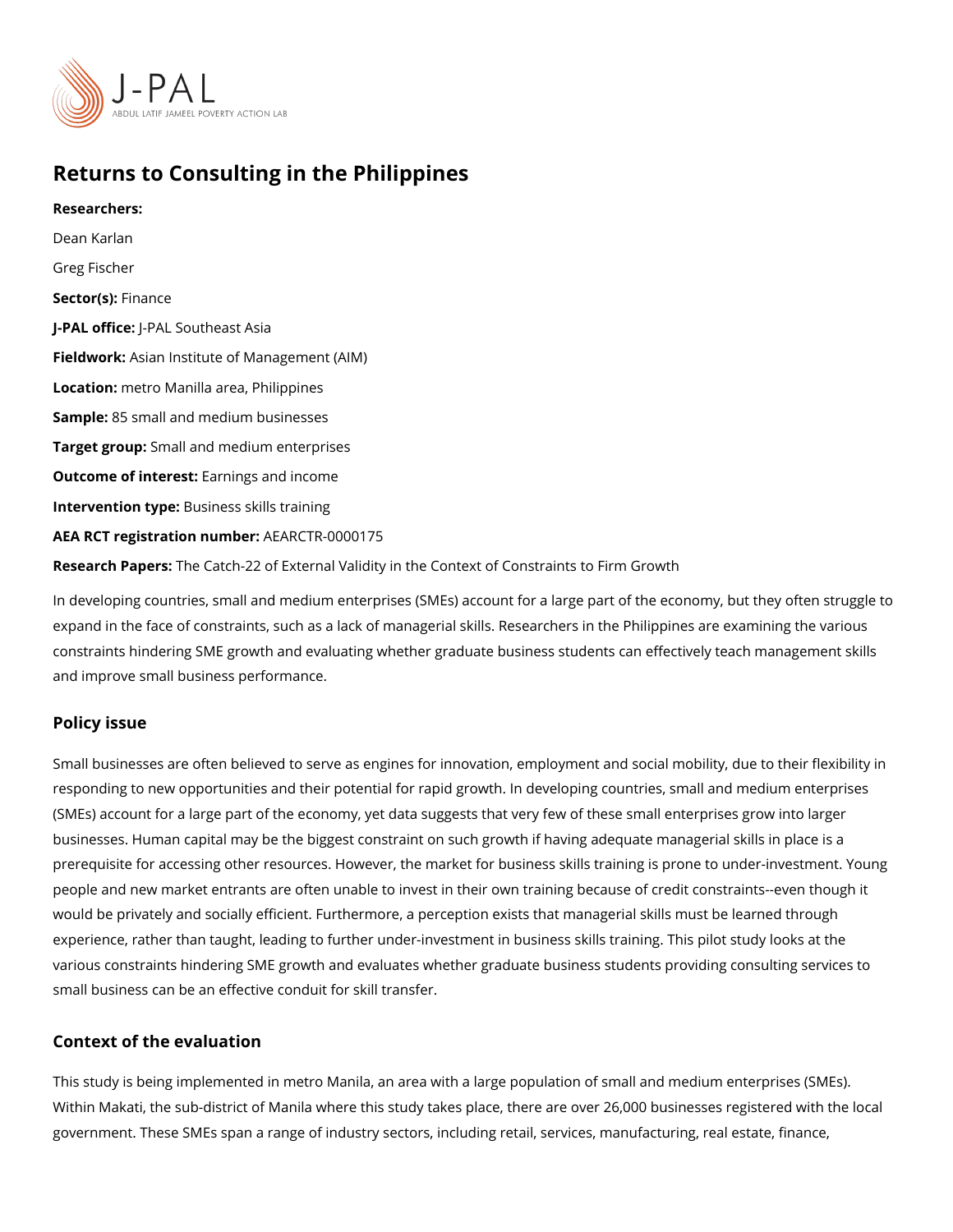## Returns to Consulting in the Philippines

Researchers: [Dean Ka](https://www.povertyactionlab.org/person/karlan)rlan Greg Fischer Sector(Fsi)nance J-PAL of tic PeAL Southeast Asia Fieldworksian Institute of Management (AIM) Locatiom: etro Manilla area, Philippines Sample: 5 small and medium businesses Target gro&pmall and medium enterprises Outcome of intelestings and income Intervention t**B**psiness skills training AEA RCT registration ArEuAnRbGeTR-0000175 Research PapbesCatch-22 of External Validity in the Context of Constraints to Firm Growt In developing countries, small and medium enterprises (SMEs) account for a large part of

expand in the face of constraints, such as a lack of managerial skills. Researchers in the constraints hindering SME growth and evaluating whether graduate business students can and improve small business performance.

#### Policy issue

Small businesses are often believed to serve as engines for innovation, employment and s responding to new opportunities and their potential for rapid growth. In developing countr (SMEs) account for a large part of the economy, yet data suggests that very few of these businesses. Human capital may be the biggest constraint on such growth if having adequa prerequisite for accessing other resources. However, the market for business skills traini people and new market entrants are often unable to invest in their own training because o would be privately and socially efficient. Furthermore, a perception exists that manageria experience, rather than taught, leading to further under-investment in business skills trai various constraints hindering SME growth and evaluates whether graduate business stude small business can be an effective conduit for skill transfer.

#### Context of the evaluation

This study is being implemented in metro Manila, an area with a large population of small Within Makati, the sub-district of Manila where this study takes place, there are over 26,000 government. These SMEs span a range of industry sectors, including retail, services, man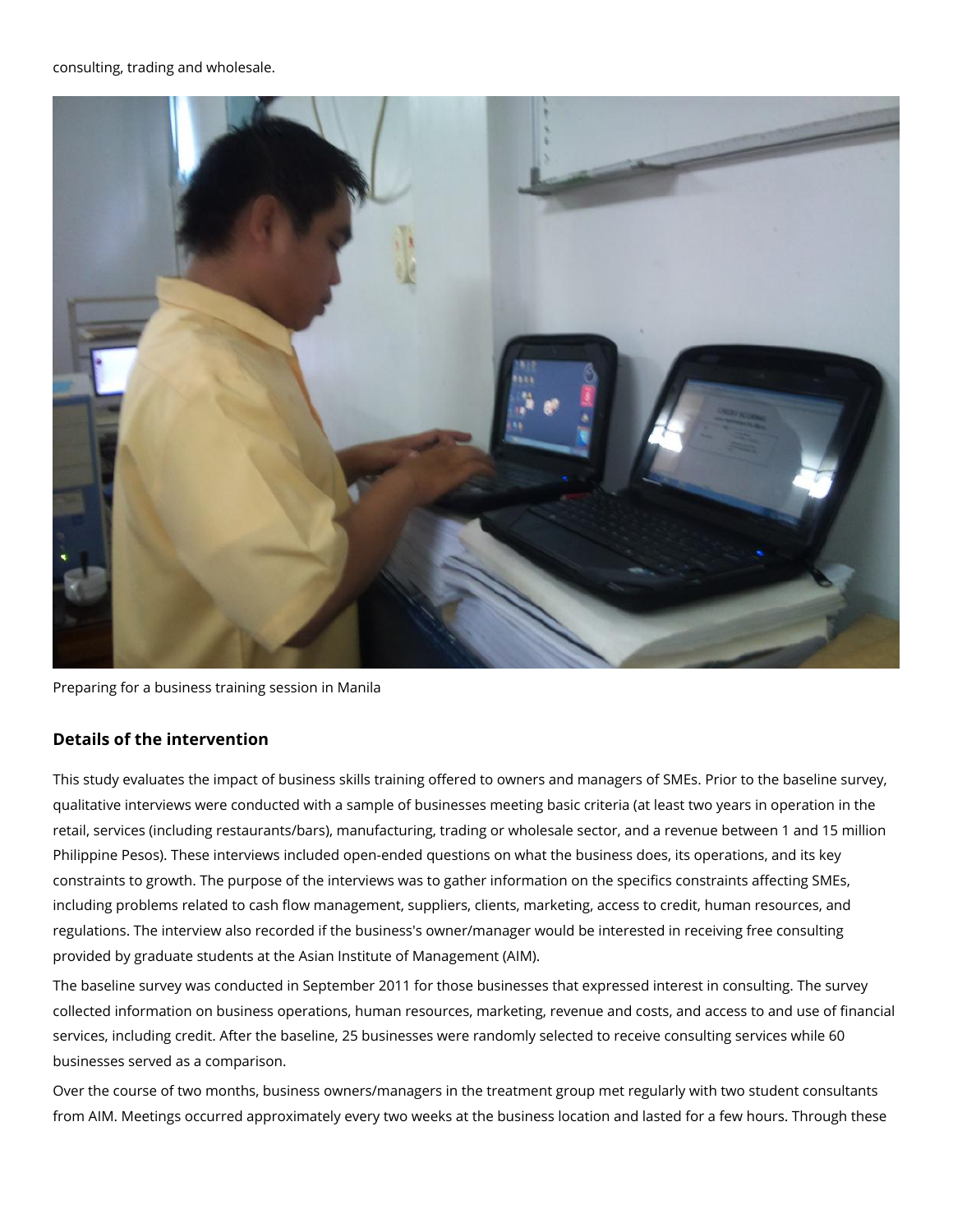

Preparing for a business training session in Manila

# **Details of the intervention**

This study evaluates the impact of business skills training offered to owners and managers of SMEs. Prior to the baseline survey, qualitative interviews were conducted with a sample of businesses meeting basic criteria (at least two years in operation in the retail, services (including restaurants/bars), manufacturing, trading or wholesale sector, and a revenue between 1 and 15 million Philippine Pesos). These interviews included open-ended questions on what the business does, its operations, and its key constraints to growth. The purpose of the interviews was to gather information on the specifics constraints affecting SMEs, including problems related to cash flow management, suppliers, clients, marketing, access to credit, human resources, and regulations. The interview also recorded if the business's owner/manager would be interested in receiving free consulting provided by graduate students at the Asian Institute of Management (AIM).

The baseline survey was conducted in September 2011 for those businesses that expressed interest in consulting. The survey collected information on business operations, human resources, marketing, revenue and costs, and access to and use of financial services, including credit. After the baseline, 25 businesses were randomly selected to receive consulting services while 60 businesses served as a comparison.

Over the course of two months, business owners/managers in the treatment group met regularly with two student consultants from AIM. Meetings occurred approximately every two weeks at the business location and lasted for a few hours. Through these